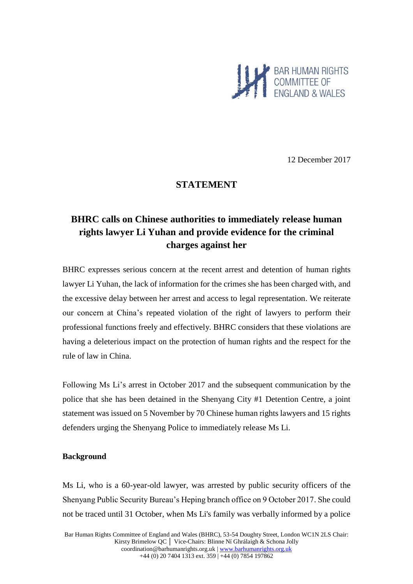

12 December 2017

## **STATEMENT**

# **BHRC calls on Chinese authorities to immediately release human rights lawyer Li Yuhan and provide evidence for the criminal charges against her**

BHRC expresses serious concern at the recent arrest and detention of human rights lawyer Li Yuhan, the lack of information for the crimes she has been charged with, and the excessive delay between her arrest and access to legal representation. We reiterate our concern at China's repeated violation of the right of lawyers to perform their professional functions freely and effectively. BHRC considers that these violations are having a deleterious impact on the protection of human rights and the respect for the rule of law in China.

Following Ms Li's arrest in October 2017 and the subsequent communication by the police that she has been detained in the Shenyang City #1 Detention Centre, a joint statement was issued on 5 November by 70 Chinese human rights lawyers and 15 rights defenders urging the Shenyang Police to immediately release Ms Li.

#### **Background**

Ms Li, who is a 60-year-old lawyer, was arrested by public security officers of the Shenyang Public Security Bureau's Heping branch office on 9 October 2017. She could not be traced until 31 October, when Ms Li's family was verbally informed by a police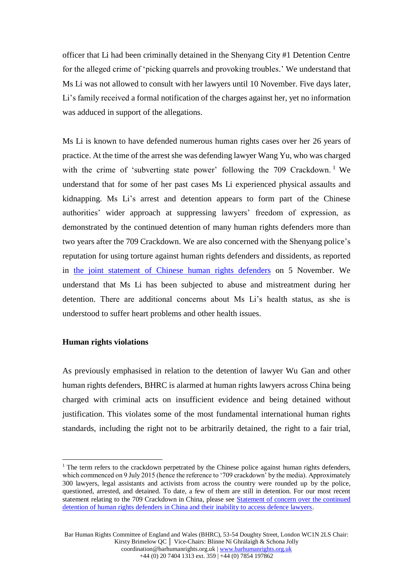officer that Li had been criminally detained in the Shenyang City #1 Detention Centre for the alleged crime of 'picking quarrels and provoking troubles.' We understand that Ms Li was not allowed to consult with her lawyers until 10 November. Five days later, Li's family received a formal notification of the charges against her, yet no information was adduced in support of the allegations.

Ms Li is known to have defended numerous human rights cases over her 26 years of practice. At the time of the arrest she was defending lawyer Wang Yu, who was charged with the crime of 'subverting state power' following the 709 Crackdown.<sup>1</sup> We understand that for some of her past cases Ms Li experienced physical assaults and kidnapping. Ms Li's arrest and detention appears to form part of the Chinese authorities' wider approach at suppressing lawyers' freedom of expression, as demonstrated by the continued detention of many human rights defenders more than two years after the 709 Crackdown. We are also concerned with the Shenyang police's reputation for using torture against human rights defenders and dissidents, as reported in [the joint statement of Chinese human rights defenders](http://www.chrlawyers.hk/en/content/forwarda-joint-letter-urge-shenyang-police-immediately-release-lawyer-li-yuhan-85-lawyers) on 5 November. We understand that Ms Li has been subjected to abuse and mistreatment during her detention. There are additional concerns about Ms Li's health status, as she is understood to suffer heart problems and other health issues.

#### **Human rights violations**

As previously emphasised in relation to the detention of lawyer Wu Gan and other human rights defenders, BHRC is alarmed at human rights lawyers across China being charged with criminal acts on insufficient evidence and being detained without justification. This violates some of the most fundamental international human rights standards, including the right not to be arbitrarily detained, the right to a fair trial,

 $\overline{a}$  $<sup>1</sup>$  The term refers to the crackdown perpetrated by the Chinese police against human rights defenders,</sup> which commenced on 9 July 2015 (hence the reference to '709 crackdown' by the media). Approximately 300 lawyers, legal assistants and activists from across the country were rounded up by the police, questioned, arrested, and detained. To date, a few of them are still in detention. For our most recent statement relating to the 709 Crackdown in China, please see [Statement of concern over the continued](http://www.barhumanrights.org.uk/on-eve-of-activists-trial-bhrc-calls-on-china-to-release-detained-lawyers-and-human-rights-defenders/)  [detention of human rights defenders in China and their inability to access defence lawyers.](http://www.barhumanrights.org.uk/on-eve-of-activists-trial-bhrc-calls-on-china-to-release-detained-lawyers-and-human-rights-defenders/)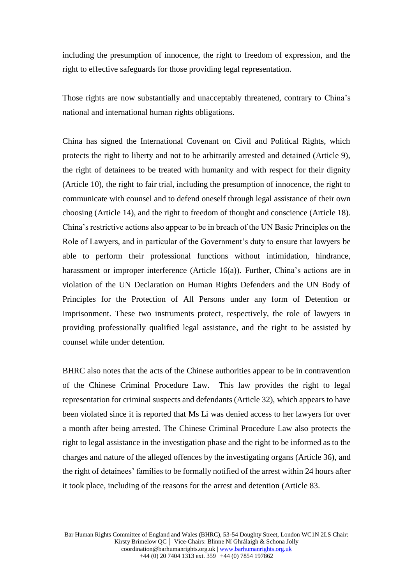including the presumption of innocence, the right to freedom of expression, and the right to effective safeguards for those providing legal representation.

Those rights are now substantially and unacceptably threatened, contrary to China's national and international human rights obligations.

China has signed the International Covenant on Civil and Political Rights, which protects the right to liberty and not to be arbitrarily arrested and detained (Article 9), the right of detainees to be treated with humanity and with respect for their dignity (Article 10), the right to fair trial, including the presumption of innocence, the right to communicate with counsel and to defend oneself through legal assistance of their own choosing (Article 14), and the right to freedom of thought and conscience (Article 18). China's restrictive actions also appear to be in breach of the UN Basic Principles on the Role of Lawyers, and in particular of the Government's duty to ensure that lawyers be able to perform their professional functions without intimidation, hindrance, harassment or improper interference (Article 16(a)). Further, China's actions are in violation of the UN Declaration on Human Rights Defenders and the UN Body of Principles for the Protection of All Persons under any form of Detention or Imprisonment. These two instruments protect, respectively, the role of lawyers in providing professionally qualified legal assistance, and the right to be assisted by counsel while under detention.

BHRC also notes that the acts of the Chinese authorities appear to be in contravention of the Chinese Criminal Procedure Law. This law provides the right to legal representation for criminal suspects and defendants (Article 32), which appears to have been violated since it is reported that Ms Li was denied access to her lawyers for over a month after being arrested. The Chinese Criminal Procedure Law also protects the right to legal assistance in the investigation phase and the right to be informed as to the charges and nature of the alleged offences by the investigating organs (Article 36), and the right of detainees' families to be formally notified of the arrest within 24 hours after it took place, including of the reasons for the arrest and detention (Article 83.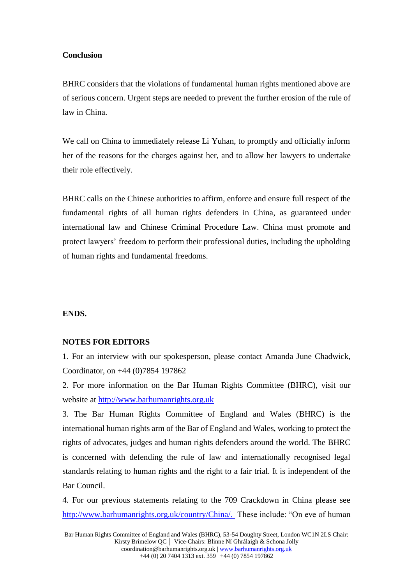#### **Conclusion**

BHRC considers that the violations of fundamental human rights mentioned above are of serious concern. Urgent steps are needed to prevent the further erosion of the rule of law in China.

We call on China to immediately release Li Yuhan, to promptly and officially inform her of the reasons for the charges against her, and to allow her lawyers to undertake their role effectively.

BHRC calls on the Chinese authorities to affirm, enforce and ensure full respect of the fundamental rights of all human rights defenders in China, as guaranteed under international law and Chinese Criminal Procedure Law. China must promote and protect lawyers' freedom to perform their professional duties, including the upholding of human rights and fundamental freedoms.

### **ENDS.**

#### **NOTES FOR EDITORS**

1. For an interview with our spokesperson, please contact Amanda June Chadwick, Coordinator, on +44 (0)7854 197862

2. For more information on the Bar Human Rights Committee (BHRC), visit our website at [http://www.barhumanrights.org.uk](http://www.barhumanrights.org.uk/)

3. The Bar Human Rights Committee of England and Wales (BHRC) is the international human rights arm of the Bar of England and Wales, working to protect the rights of advocates, judges and human rights defenders around the world. The BHRC is concerned with defending the rule of law and internationally recognised legal standards relating to human rights and the right to a fair trial. It is independent of the Bar Council.

4. For our previous statements relating to the 709 Crackdown in China please see [http://www.barhumanrights.org.uk/country/China/.](http://www.barhumanrights.org.uk/country/China/) These include: "On eve of human